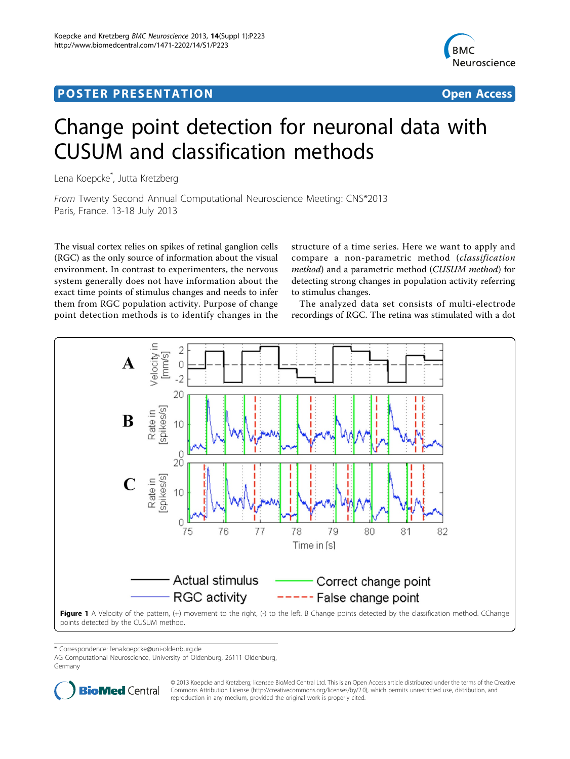## <span id="page-0-0"></span>Post Experimental Police in the St English Police in the St English Police in the St English Police in the St<br>Police in the St English Police in the St English Police in the St English Police in the St English Police in



# Change point detection for neuronal data with CUSUM and classification methods

Lena Koepcke\* , Jutta Kretzberg

From Twenty Second Annual Computational Neuroscience Meeting: CNS\*2013 Paris, France. 13-18 July 2013

The visual cortex relies on spikes of retinal ganglion cells (RGC) as the only source of information about the visual environment. In contrast to experimenters, the nervous system generally does not have information about the exact time points of stimulus changes and needs to infer them from RGC population activity. Purpose of change point detection methods is to identify changes in the

structure of a time series. Here we want to apply and compare a non-parametric method (classification method) and a parametric method (CUSUM method) for detecting strong changes in population activity referring to stimulus changes.

The analyzed data set consists of multi-electrode recordings of RGC. The retina was stimulated with a dot



\* Correspondence: [lena.koepcke@uni-oldenburg.de](mailto:lena.koepcke@uni-oldenburg.de)

AG Computational Neuroscience, University of Oldenburg, 26111 Oldenburg, Germany



© 2013 Koepcke and Kretzberg; licensee BioMed Central Ltd. This is an Open Access article distributed under the terms of the Creative Commons Attribution License [\(http://creativecommons.org/licenses/by/2.0](http://creativecommons.org/licenses/by/2.0)), which permits unrestricted use, distribution, and reproduction in any medium, provided the original work is properly cited.